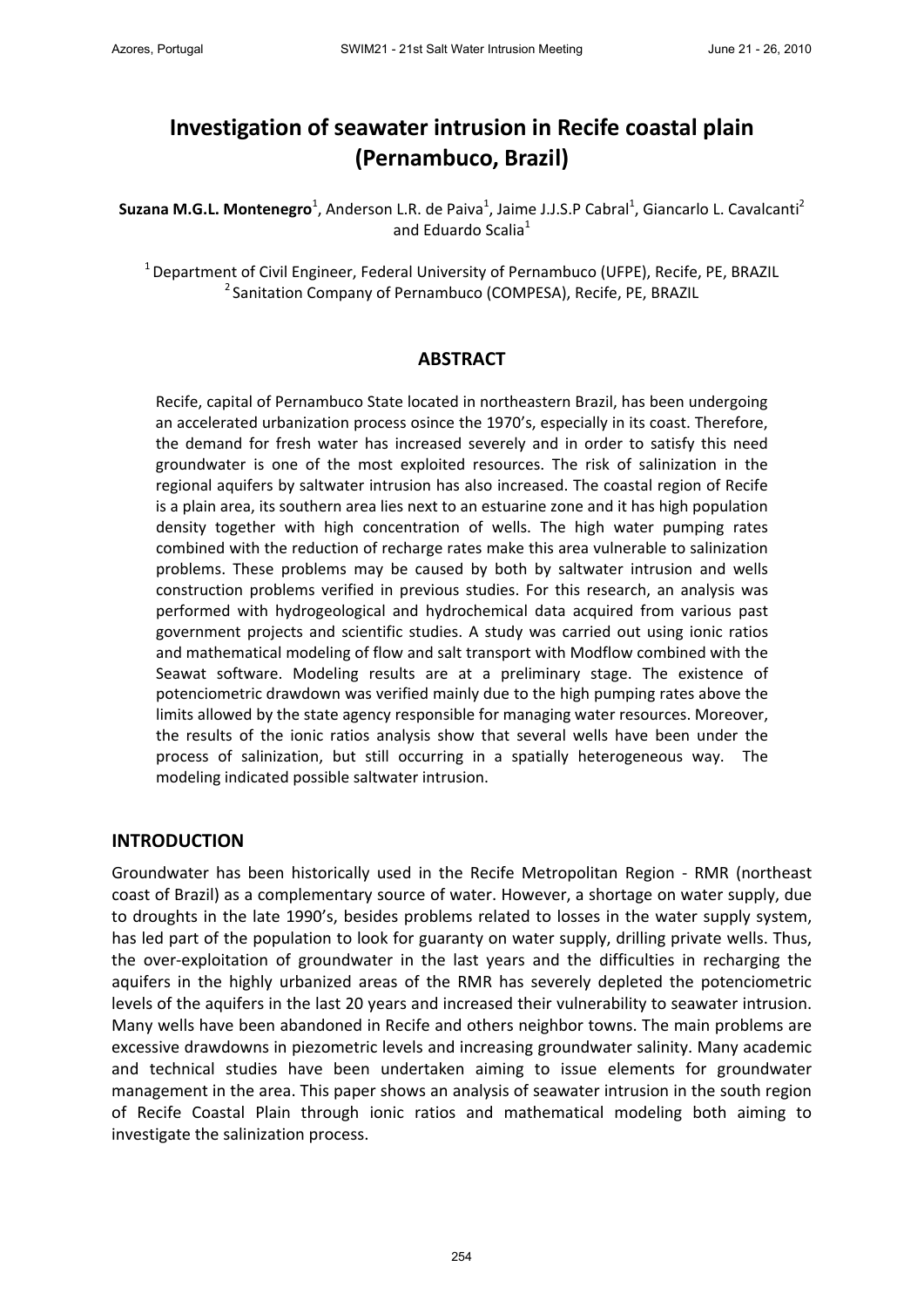# **Investigation of seawater intrusion in Recife coastal plain (Pernambuco, Brazil)**

Suzana M.G.L. Montenegro<sup>1</sup>, Anderson L.R. de Paiva<sup>1</sup>, Jaime J.J.S.P Cabral<sup>1</sup>, Giancarlo L. Cavalcanti<sup>2</sup> and Eduardo Scalia<sup>1</sup>

<sup>1</sup> Department of Civil Engineer, Federal University of Pernambuco (UFPE), Recife, PE, BRAZIL <sup>2</sup> Sanitation Company of Pernambuco (COMPESA), Recife, PE, BRAZIL

## **ABSTRACT**

Recife, capital of Pernambuco State located in northeastern Brazil, has been undergoing an accelerated urbanization process osince the 1970's, especially in its coast. Therefore, the demand for fresh water has increased severely and in order to satisfy this need groundwater is one of the most exploited resources. The risk of salinization in the regional aquifers by saltwater intrusion has also increased. The coastal region of Recife is a plain area, its southern area lies next to an estuarine zone and it has high population density together with high concentration of wells. The high water pumping rates combined with the reduction of recharge rates make this area vulnerable to salinization problems. These problems may be caused by both by saltwater intrusion and wells construction problems verified in previous studies. For this research, an analysis was performed with hydrogeological and hydrochemical data acquired from various past government projects and scientific studies. A study was carried out using ionic ratios and mathematical modeling of flow and salt transport with Modflow combined with the Seawat software. Modeling results are at a preliminary stage. The existence of potenciometric drawdown was verified mainly due to the high pumping rates above the limits allowed by the state agency responsible for managing water resources. Moreover, the results of the ionic ratios analysis show that several wells have been under the process of salinization, but still occurring in a spatially heterogeneous way. The modeling indicated possible saltwater intrusion.

#### **INTRODUCTION**

Groundwater has been historically used in the Recife Metropolitan Region ‐ RMR (northeast coast of Brazil) as a complementary source of water. However, a shortage on water supply, due to droughts in the late 1990's, besides problems related to losses in the water supply system, has led part of the population to look for guaranty on water supply, drilling private wells. Thus, the over‐exploitation of groundwater in the last years and the difficulties in recharging the aquifers in the highly urbanized areas of the RMR has severely depleted the potenciometric levels of the aquifers in the last 20 years and increased their vulnerability to seawater intrusion. Many wells have been abandoned in Recife and others neighbor towns. The main problems are excessive drawdowns in piezometric levels and increasing groundwater salinity. Many academic and technical studies have been undertaken aiming to issue elements for groundwater management in the area. This paper shows an analysis of seawater intrusion in the south region of Recife Coastal Plain through ionic ratios and mathematical modeling both aiming to investigate the salinization process.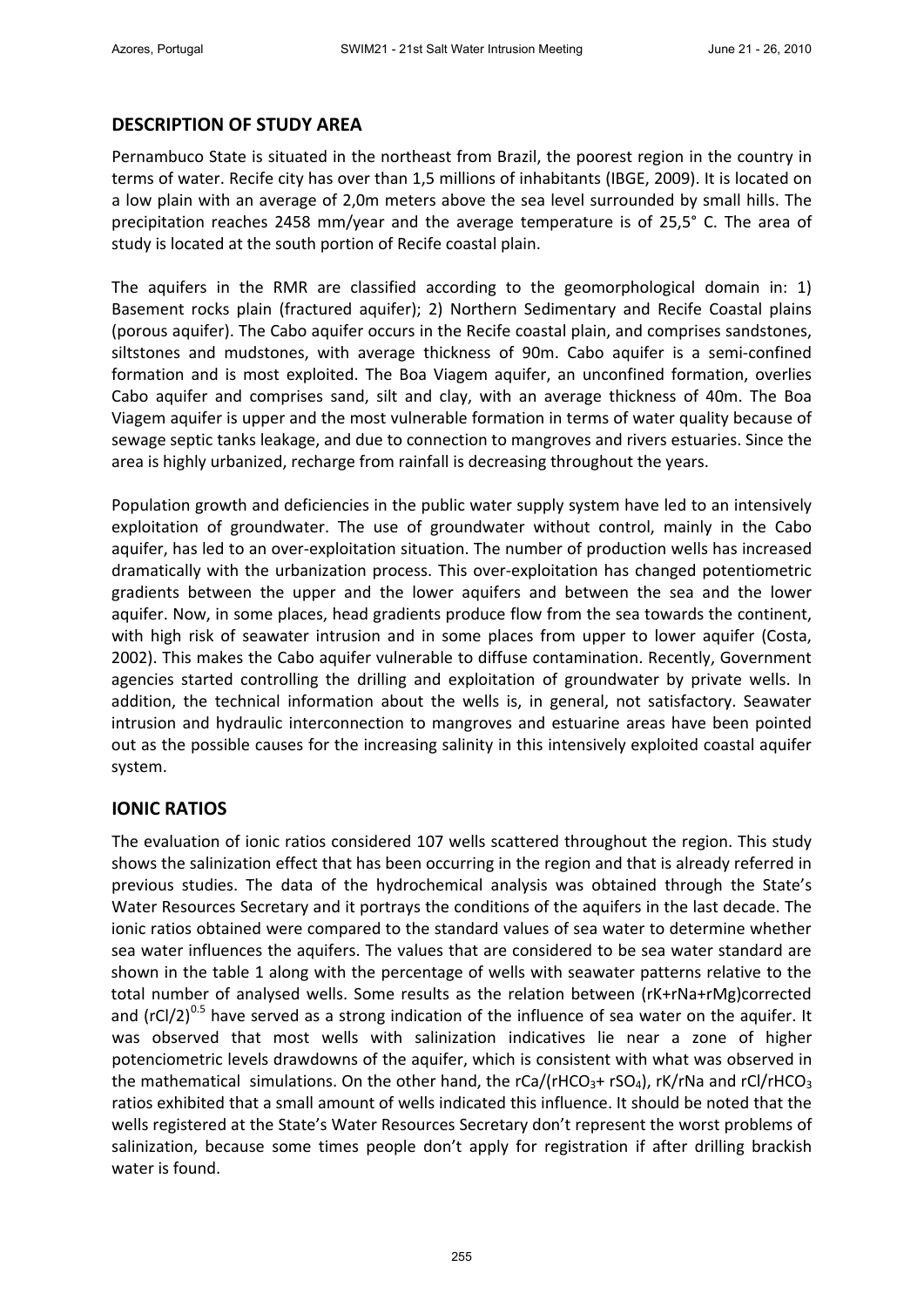# **DESCRIPTION OF STUDY AREA**

Pernambuco State is situated in the northeast from Brazil, the poorest region in the country in terms of water. Recife city has over than 1,5 millions of inhabitants (IBGE, 2009). It is located on a low plain with an average of 2,0m meters above the sea level surrounded by small hills. The precipitation reaches 2458 mm/year and the average temperature is of 25,5° C. The area of study is located at the south portion of Recife coastal plain.

The aquifers in the RMR are classified according to the geomorphological domain in: 1) Basement rocks plain (fractured aquifer); 2) Northern Sedimentary and Recife Coastal plains (porous aquifer). The Cabo aquifer occurs in the Recife coastal plain, and comprises sandstones, siltstones and mudstones, with average thickness of 90m. Cabo aquifer is a semi-confined formation and is most exploited. The Boa Viagem aquifer, an unconfined formation, overlies Cabo aquifer and comprises sand, silt and clay, with an average thickness of 40m. The Boa Viagem aquifer is upper and the most vulnerable formation in terms of water quality because of sewage septic tanks leakage, and due to connection to mangroves and rivers estuaries. Since the area is highly urbanized, recharge from rainfall is decreasing throughout the years.

Population growth and deficiencies in the public water supply system have led to an intensively exploitation of groundwater. The use of groundwater without control, mainly in the Cabo aquifer, has led to an over‐exploitation situation. The number of production wells has increased dramatically with the urbanization process. This over‐exploitation has changed potentiometric gradients between the upper and the lower aquifers and between the sea and the lower aquifer. Now, in some places, head gradients produce flow from the sea towards the continent, with high risk of seawater intrusion and in some places from upper to lower aquifer (Costa, 2002). This makes the Cabo aquifer vulnerable to diffuse contamination. Recently, Government agencies started controlling the drilling and exploitation of groundwater by private wells. In addition, the technical information about the wells is, in general, not satisfactory. Seawater intrusion and hydraulic interconnection to mangroves and estuarine areas have been pointed out as the possible causes for the increasing salinity in this intensively exploited coastal aquifer system.

# **IONIC RATIOS**

The evaluation of ionic ratios considered 107 wells scattered throughout the region. This study shows the salinization effect that has been occurring in the region and that is already referred in previous studies. The data of the hydrochemical analysis was obtained through the State's Water Resources Secretary and it portrays the conditions of the aquifers in the last decade. The ionic ratios obtained were compared to the standard values of sea water to determine whether sea water influences the aquifers. The values that are considered to be sea water standard are shown in the table 1 along with the percentage of wells with seawater patterns relative to the total number of analysed wells. Some results as the relation between (rK+rNa+rMg)corrected and ( $rCl/2$ )<sup>0.5</sup> have served as a strong indication of the influence of sea water on the aquifer. It was observed that most wells with salinization indicatives lie near a zone of higher potenciometric levels drawdowns of the aquifer, which is consistent with what was observed in the mathematical simulations. On the other hand, the rCa/(rHCO<sub>3</sub>+ rSO<sub>4</sub>), rK/rNa and rCl/rHCO<sub>3</sub> ratios exhibited that a small amount of wells indicated this influence. It should be noted that the wells registered at the State's Water Resources Secretary don't represent the worst problems of salinization, because some times people don't apply for registration if after drilling brackish water is found.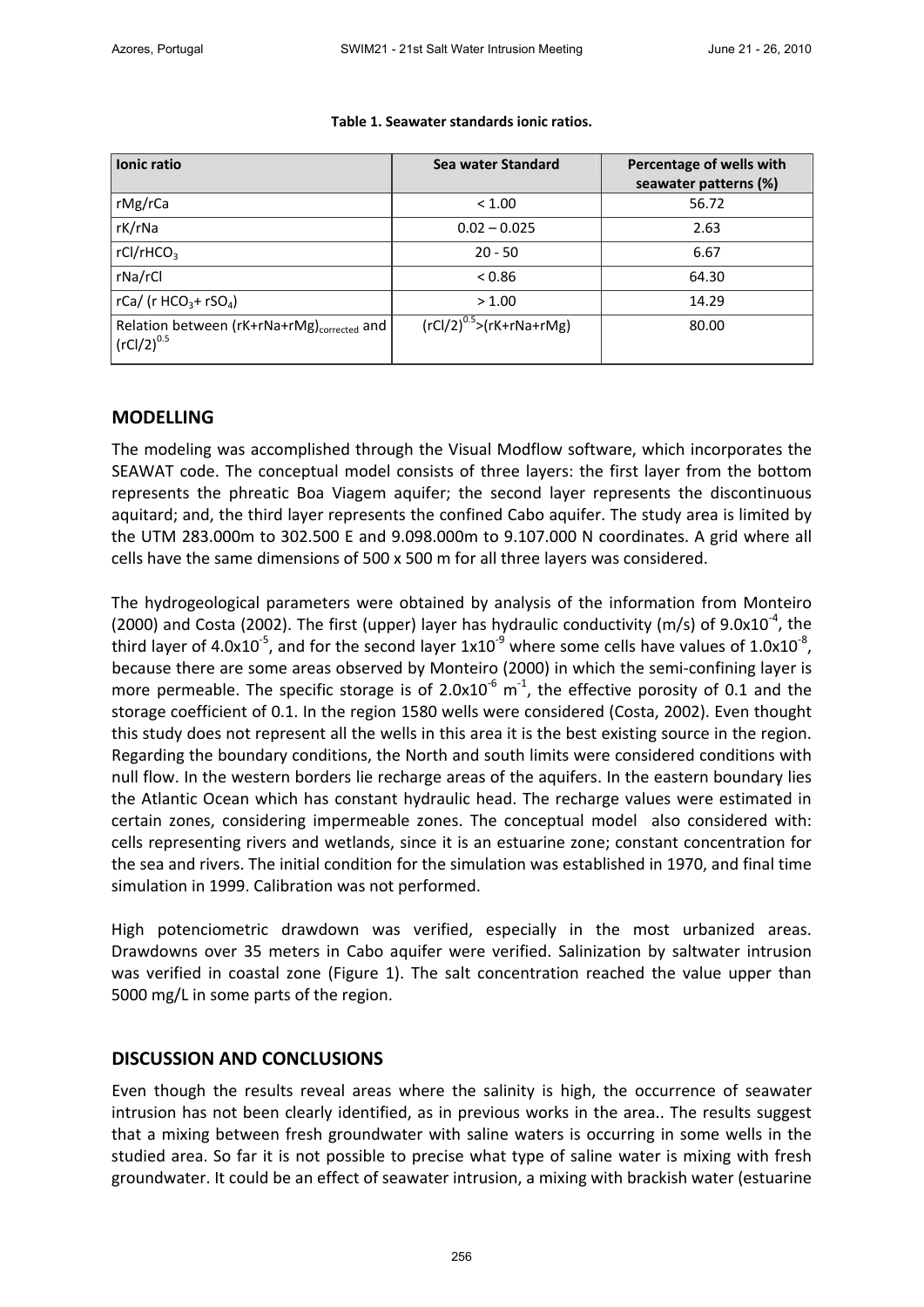| Ionic ratio                                                                 | Sea water Standard                | Percentage of wells with<br>seawater patterns (%) |
|-----------------------------------------------------------------------------|-----------------------------------|---------------------------------------------------|
| rMg/rCa                                                                     | < 1.00                            | 56.72                                             |
| rK/rNa                                                                      | $0.02 - 0.025$                    | 2.63                                              |
| rCl/rHCO <sub>3</sub>                                                       | $20 - 50$                         | 6.67                                              |
| rNa/rCl                                                                     | < 0.86                            | 64.30                                             |
| rCa/ (r HCO <sub>3</sub> + rSO <sub>4</sub> )                               | > 1.00                            | 14.29                                             |
| Relation between (rK+rNa+rMg) <sub>corrected</sub> and<br>$({rCl}/2)^{0.5}$ | $( rCl/2)^{0.5}$ > $(rK+rNa+rMg)$ | 80.00                                             |

#### **Table 1. Seawater standards ionic ratios.**

## **MODELLING**

The modeling was accomplished through the Visual Modflow software, which incorporates the SEAWAT code. The conceptual model consists of three layers: the first layer from the bottom represents the phreatic Boa Viagem aquifer; the second layer represents the discontinuous aquitard; and, the third layer represents the confined Cabo aquifer. The study area is limited by the UTM 283.000m to 302.500 E and 9.098.000m to 9.107.000 N coordinates. A grid where all cells have the same dimensions of 500 x 500 m for all three layers was considered.

The hydrogeological parameters were obtained by analysis of the information from Monteiro (2000) and Costa (2002). The first (upper) layer has hydraulic conductivity (m/s) of 9.0x10<sup>-4</sup>, the third layer of 4.0x10<sup>-5</sup>, and for the second layer 1x10<sup>-9</sup> where some cells have values of 1.0x10<sup>-8</sup>, because there are some areas observed by Monteiro (2000) in which the semi‐confining layer is more permeable. The specific storage is of 2.0x10<sup>-6</sup> m<sup>-1</sup>, the effective porosity of 0.1 and the storage coefficient of 0.1. In the region 1580 wells were considered (Costa, 2002). Even thought this study does not represent all the wells in this area it is the best existing source in the region. Regarding the boundary conditions, the North and south limits were considered conditions with null flow. In the western borders lie recharge areas of the aquifers. In the eastern boundary lies the Atlantic Ocean which has constant hydraulic head. The recharge values were estimated in certain zones, considering impermeable zones. The conceptual model also considered with: cells representing rivers and wetlands, since it is an estuarine zone; constant concentration for the sea and rivers. The initial condition for the simulation was established in 1970, and final time simulation in 1999. Calibration was not performed.

High potenciometric drawdown was verified, especially in the most urbanized areas. Drawdowns over 35 meters in Cabo aquifer were verified. Salinization by saltwater intrusion was verified in coastal zone (Figure 1). The salt concentration reached the value upper than 5000 mg/L in some parts of the region.

# **DISCUSSION AND CONCLUSIONS**

Even though the results reveal areas where the salinity is high, the occurrence of seawater intrusion has not been clearly identified, as in previous works in the area.. The results suggest that a mixing between fresh groundwater with saline waters is occurring in some wells in the studied area. So far it is not possible to precise what type of saline water is mixing with fresh groundwater. It could be an effect of seawater intrusion, a mixing with brackish water (estuarine